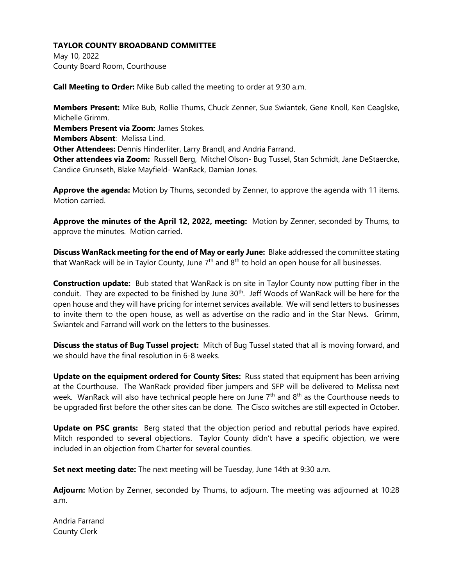May 10, 2022 County Board Room, Courthouse

**Call Meeting to Order:** Mike Bub called the meeting to order at 9:30 a.m.

**Members Present:** Mike Bub, Rollie Thums, Chuck Zenner, Sue Swiantek, Gene Knoll, Ken Ceaglske, Michelle Grimm.

**Members Present via Zoom:** James Stokes.

**Members Absent**: Melissa Lind.

**Other Attendees:** Dennis Hinderliter, Larry Brandl, and Andria Farrand.

**Other attendees via Zoom:** Russell Berg, Mitchel Olson- Bug Tussel, Stan Schmidt, Jane DeStaercke, Candice Grunseth, Blake Mayfield- WanRack, Damian Jones.

**Approve the agenda:** Motion by Thums, seconded by Zenner, to approve the agenda with 11 items. Motion carried.

**Approve the minutes of the April 12, 2022, meeting:** Motion by Zenner, seconded by Thums, to approve the minutes. Motion carried.

**Discuss WanRack meeting for the end of May or early June:** Blake addressed the committee stating that WanRack will be in Taylor County, June  $7<sup>th</sup>$  and  $8<sup>th</sup>$  to hold an open house for all businesses.

**Construction update:** Bub stated that WanRack is on site in Taylor County now putting fiber in the conduit. They are expected to be finished by June 30<sup>th</sup>. Jeff Woods of WanRack will be here for the open house and they will have pricing for internet services available. We will send letters to businesses to invite them to the open house, as well as advertise on the radio and in the Star News. Grimm, Swiantek and Farrand will work on the letters to the businesses.

**Discuss the status of Bug Tussel project:** Mitch of Bug Tussel stated that all is moving forward, and we should have the final resolution in 6-8 weeks.

**Update on the equipment ordered for County Sites:** Russ stated that equipment has been arriving at the Courthouse. The WanRack provided fiber jumpers and SFP will be delivered to Melissa next week. WanRack will also have technical people here on June 7<sup>th</sup> and 8<sup>th</sup> as the Courthouse needs to be upgraded first before the other sites can be done. The Cisco switches are still expected in October.

**Update on PSC grants:** Berg stated that the objection period and rebuttal periods have expired. Mitch responded to several objections. Taylor County didn't have a specific objection, we were included in an objection from Charter for several counties.

**Set next meeting date:** The next meeting will be Tuesday, June 14th at 9:30 a.m.

**Adjourn:** Motion by Zenner, seconded by Thums, to adjourn. The meeting was adjourned at 10:28 a.m.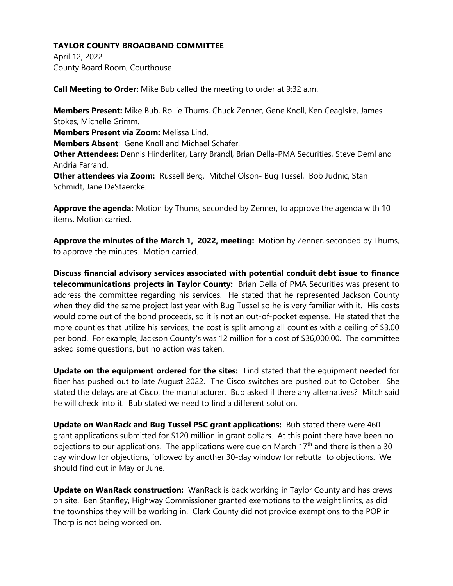April 12, 2022 County Board Room, Courthouse

**Call Meeting to Order:** Mike Bub called the meeting to order at 9:32 a.m.

**Members Present:** Mike Bub, Rollie Thums, Chuck Zenner, Gene Knoll, Ken Ceaglske, James Stokes, Michelle Grimm.

**Members Present via Zoom:** Melissa Lind.

**Members Absent**: Gene Knoll and Michael Schafer.

**Other Attendees:** Dennis Hinderliter, Larry Brandl, Brian Della-PMA Securities, Steve Deml and Andria Farrand.

**Other attendees via Zoom:** Russell Berg, Mitchel Olson- Bug Tussel, Bob Judnic, Stan Schmidt, Jane DeStaercke.

**Approve the agenda:** Motion by Thums, seconded by Zenner, to approve the agenda with 10 items. Motion carried.

**Approve the minutes of the March 1, 2022, meeting:** Motion by Zenner, seconded by Thums, to approve the minutes. Motion carried.

**Discuss financial advisory services associated with potential conduit debt issue to finance telecommunications projects in Taylor County:** Brian Della of PMA Securities was present to address the committee regarding his services. He stated that he represented Jackson County when they did the same project last year with Bug Tussel so he is very familiar with it. His costs would come out of the bond proceeds, so it is not an out-of-pocket expense. He stated that the more counties that utilize his services, the cost is split among all counties with a ceiling of \$3.00 per bond. For example, Jackson County's was 12 million for a cost of \$36,000.00. The committee asked some questions, but no action was taken.

**Update on the equipment ordered for the sites:** Lind stated that the equipment needed for fiber has pushed out to late August 2022. The Cisco switches are pushed out to October. She stated the delays are at Cisco, the manufacturer. Bub asked if there any alternatives? Mitch said he will check into it. Bub stated we need to find a different solution.

**Update on WanRack and Bug Tussel PSC grant applications:** Bub stated there were 460 grant applications submitted for \$120 million in grant dollars. At this point there have been no objections to our applications. The applications were due on March  $17<sup>th</sup>$  and there is then a 30day window for objections, followed by another 30-day window for rebuttal to objections. We should find out in May or June.

**Update on WanRack construction:** WanRack is back working in Taylor County and has crews on site. Ben Stanfley, Highway Commissioner granted exemptions to the weight limits, as did the townships they will be working in. Clark County did not provide exemptions to the POP in Thorp is not being worked on.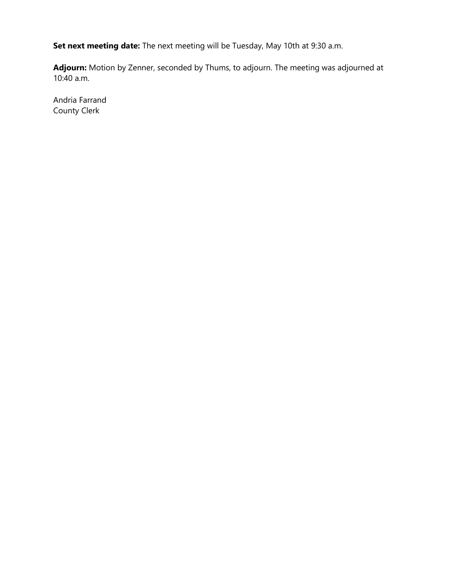**Set next meeting date:** The next meeting will be Tuesday, May 10th at 9:30 a.m.

**Adjourn:** Motion by Zenner, seconded by Thums, to adjourn. The meeting was adjourned at 10:40 a.m.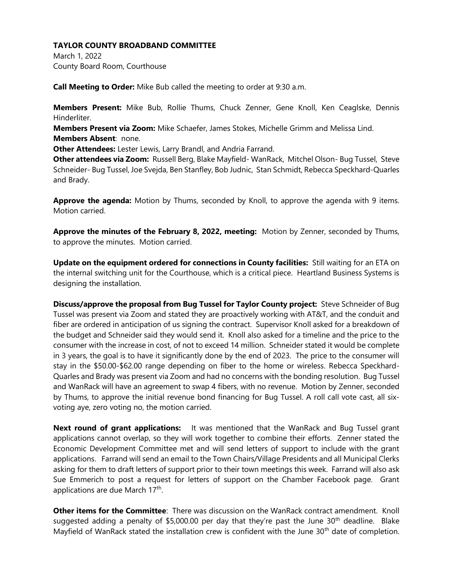March 1, 2022 County Board Room, Courthouse

**Call Meeting to Order:** Mike Bub called the meeting to order at 9:30 a.m.

**Members Present:** Mike Bub, Rollie Thums, Chuck Zenner, Gene Knoll, Ken Ceaglske, Dennis Hinderliter.

**Members Present via Zoom:** Mike Schaefer, James Stokes, Michelle Grimm and Melissa Lind. **Members Absent**: none.

**Other Attendees:** Lester Lewis, Larry Brandl, and Andria Farrand.

**Other attendees via Zoom:** Russell Berg, Blake Mayfield- WanRack, Mitchel Olson- Bug Tussel, Steve Schneider- Bug Tussel, Joe Svejda, Ben Stanfley, Bob Judnic, Stan Schmidt, Rebecca Speckhard-Quarles and Brady.

**Approve the agenda:** Motion by Thums, seconded by Knoll, to approve the agenda with 9 items. Motion carried.

**Approve the minutes of the February 8, 2022, meeting:** Motion by Zenner, seconded by Thums, to approve the minutes. Motion carried.

**Update on the equipment ordered for connections in County facilities:** Still waiting for an ETA on the internal switching unit for the Courthouse, which is a critical piece. Heartland Business Systems is designing the installation.

**Discuss/approve the proposal from Bug Tussel for Taylor County project:** Steve Schneider of Bug Tussel was present via Zoom and stated they are proactively working with AT&T, and the conduit and fiber are ordered in anticipation of us signing the contract. Supervisor Knoll asked for a breakdown of the budget and Schneider said they would send it. Knoll also asked for a timeline and the price to the consumer with the increase in cost, of not to exceed 14 million. Schneider stated it would be complete in 3 years, the goal is to have it significantly done by the end of 2023. The price to the consumer will stay in the \$50.00-\$62.00 range depending on fiber to the home or wireless. Rebecca Speckhard-Quarles and Brady was present via Zoom and had no concerns with the bonding resolution. Bug Tussel and WanRack will have an agreement to swap 4 fibers, with no revenue. Motion by Zenner, seconded by Thums, to approve the initial revenue bond financing for Bug Tussel. A roll call vote cast, all sixvoting aye, zero voting no, the motion carried.

**Next round of grant applications:** It was mentioned that the WanRack and Bug Tussel grant applications cannot overlap, so they will work together to combine their efforts. Zenner stated the Economic Development Committee met and will send letters of support to include with the grant applications. Farrand will send an email to the Town Chairs/Village Presidents and all Municipal Clerks asking for them to draft letters of support prior to their town meetings this week. Farrand will also ask Sue Emmerich to post a request for letters of support on the Chamber Facebook page. Grant applications are due March 17<sup>th</sup>.

**Other items for the Committee**: There was discussion on the WanRack contract amendment. Knoll suggested adding a penalty of \$5,000.00 per day that they're past the June  $30<sup>th</sup>$  deadline. Blake Mayfield of WanRack stated the installation crew is confident with the June 30<sup>th</sup> date of completion.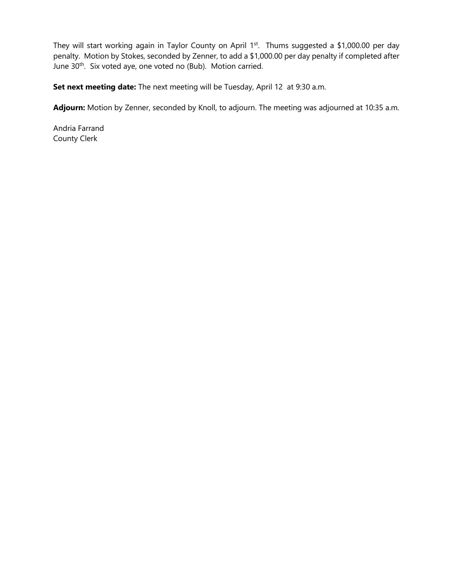They will start working again in Taylor County on April 1<sup>st</sup>. Thums suggested a \$1,000.00 per day penalty. Motion by Stokes, seconded by Zenner, to add a \$1,000.00 per day penalty if completed after June 30<sup>th</sup>. Six voted aye, one voted no (Bub). Motion carried.

**Set next meeting date:** The next meeting will be Tuesday, April 12at 9:30 a.m.

**Adjourn:** Motion by Zenner, seconded by Knoll, to adjourn. The meeting was adjourned at 10:35 a.m.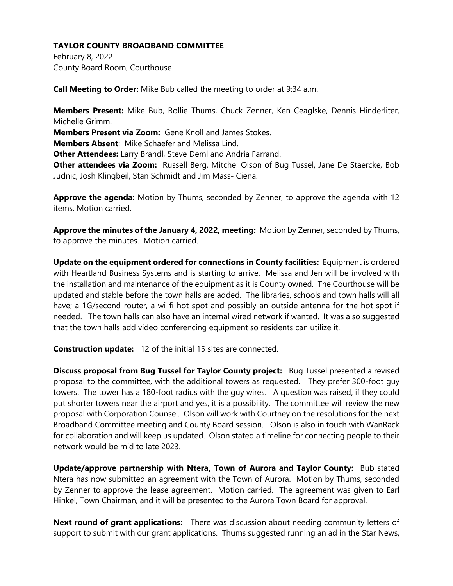February 8, 2022 County Board Room, Courthouse

**Call Meeting to Order:** Mike Bub called the meeting to order at 9:34 a.m.

**Members Present:** Mike Bub, Rollie Thums, Chuck Zenner, Ken Ceaglske, Dennis Hinderliter, Michelle Grimm.

**Members Present via Zoom:** Gene Knoll and James Stokes.

**Members Absent**: Mike Schaefer and Melissa Lind.

**Other Attendees:** Larry Brandl, Steve Deml and Andria Farrand.

**Other attendees via Zoom:** Russell Berg, Mitchel Olson of Bug Tussel, Jane De Staercke, Bob Judnic, Josh Klingbeil, Stan Schmidt and Jim Mass- Ciena.

**Approve the agenda:** Motion by Thums, seconded by Zenner, to approve the agenda with 12 items. Motion carried.

**Approve the minutes of the January 4, 2022, meeting:** Motion by Zenner, seconded by Thums, to approve the minutes. Motion carried.

**Update on the equipment ordered for connections in County facilities:** Equipment is ordered with Heartland Business Systems and is starting to arrive. Melissa and Jen will be involved with the installation and maintenance of the equipment as it is County owned. The Courthouse will be updated and stable before the town halls are added. The libraries, schools and town halls will all have; a 1G/second router, a wi-fi hot spot and possibly an outside antenna for the hot spot if needed. The town halls can also have an internal wired network if wanted. It was also suggested that the town halls add video conferencing equipment so residents can utilize it.

**Construction update:** 12 of the initial 15 sites are connected.

**Discuss proposal from Bug Tussel for Taylor County project:** Bug Tussel presented a revised proposal to the committee, with the additional towers as requested. They prefer 300-foot guy towers. The tower has a 180-foot radius with the guy wires. A question was raised, if they could put shorter towers near the airport and yes, it is a possibility. The committee will review the new proposal with Corporation Counsel. Olson will work with Courtney on the resolutions for the next Broadband Committee meeting and County Board session. Olson is also in touch with WanRack for collaboration and will keep us updated. Olson stated a timeline for connecting people to their network would be mid to late 2023.

**Update/approve partnership with Ntera, Town of Aurora and Taylor County:** Bub stated Ntera has now submitted an agreement with the Town of Aurora. Motion by Thums, seconded by Zenner to approve the lease agreement. Motion carried. The agreement was given to Earl Hinkel, Town Chairman, and it will be presented to the Aurora Town Board for approval.

**Next round of grant applications:** There was discussion about needing community letters of support to submit with our grant applications. Thums suggested running an ad in the Star News,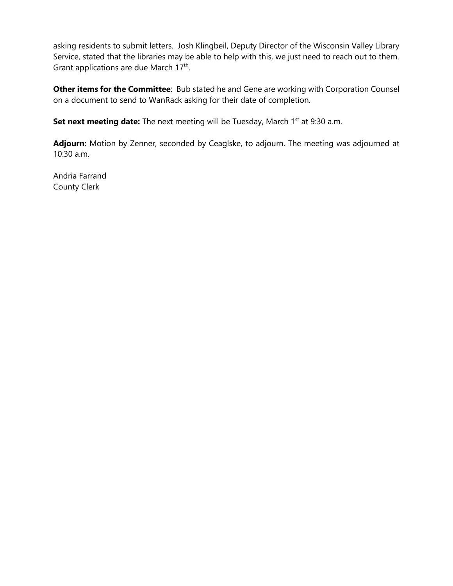asking residents to submit letters. Josh Klingbeil, Deputy Director of the Wisconsin Valley Library Service, stated that the libraries may be able to help with this, we just need to reach out to them. Grant applications are due March 17<sup>th</sup>.

**Other items for the Committee**: Bub stated he and Gene are working with Corporation Counsel on a document to send to WanRack asking for their date of completion.

**Set next meeting date:** The next meeting will be Tuesday, March 1<sup>st</sup> at 9:30 a.m.

**Adjourn:** Motion by Zenner, seconded by Ceaglske, to adjourn. The meeting was adjourned at 10:30 a.m.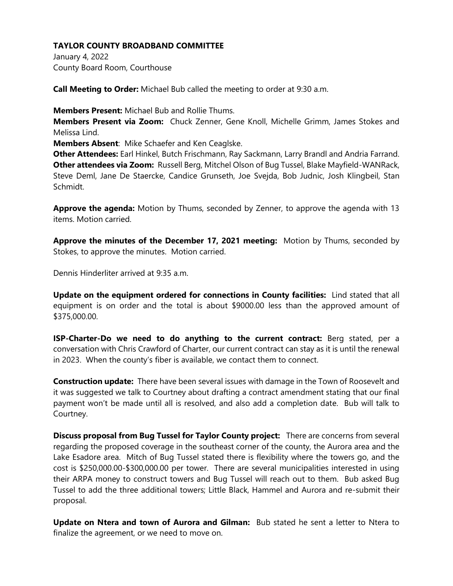January 4, 2022 County Board Room, Courthouse

**Call Meeting to Order:** Michael Bub called the meeting to order at 9:30 a.m.

**Members Present:** Michael Bub and Rollie Thums.

**Members Present via Zoom:** Chuck Zenner, Gene Knoll, Michelle Grimm, James Stokes and Melissa Lind.

**Members Absent**: Mike Schaefer and Ken Ceaglske.

**Other Attendees:** Earl Hinkel, Butch Frischmann, Ray Sackmann, Larry Brandl and Andria Farrand. **Other attendees via Zoom:** Russell Berg, Mitchel Olson of Bug Tussel, Blake Mayfield-WANRack, Steve Deml, Jane De Staercke, Candice Grunseth, Joe Svejda, Bob Judnic, Josh Klingbeil, Stan Schmidt.

**Approve the agenda:** Motion by Thums, seconded by Zenner, to approve the agenda with 13 items. Motion carried.

**Approve the minutes of the December 17, 2021 meeting:** Motion by Thums, seconded by Stokes, to approve the minutes. Motion carried.

Dennis Hinderliter arrived at 9:35 a.m.

**Update on the equipment ordered for connections in County facilities:** Lind stated that all equipment is on order and the total is about \$9000.00 less than the approved amount of \$375,000.00.

**ISP-Charter-Do we need to do anything to the current contract:** Berg stated, per a conversation with Chris Crawford of Charter, our current contract can stay as it is until the renewal in 2023. When the county's fiber is available, we contact them to connect.

**Construction update:** There have been several issues with damage in the Town of Roosevelt and it was suggested we talk to Courtney about drafting a contract amendment stating that our final payment won't be made until all is resolved, and also add a completion date. Bub will talk to Courtney.

**Discuss proposal from Bug Tussel for Taylor County project:** There are concerns from several regarding the proposed coverage in the southeast corner of the county, the Aurora area and the Lake Esadore area. Mitch of Bug Tussel stated there is flexibility where the towers go, and the cost is \$250,000.00-\$300,000.00 per tower. There are several municipalities interested in using their ARPA money to construct towers and Bug Tussel will reach out to them. Bub asked Bug Tussel to add the three additional towers; Little Black, Hammel and Aurora and re-submit their proposal.

**Update on Ntera and town of Aurora and Gilman:** Bub stated he sent a letter to Ntera to finalize the agreement, or we need to move on.